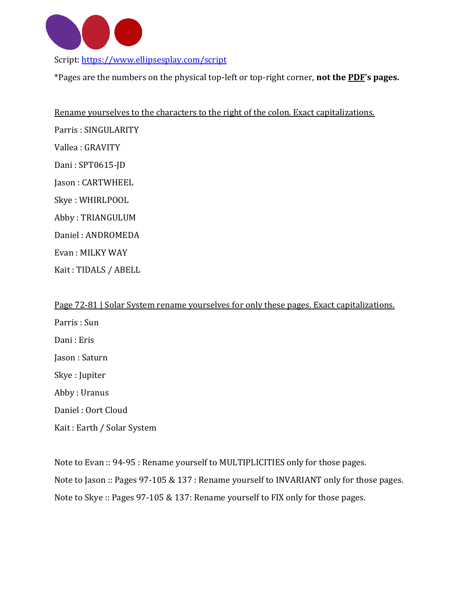

Script:<https://www.ellipsesplay.com/script>

\*Pages are the numbers on the physical top-left or top-right corner, **not the PDF's pages.**

Rename yourselves to the characters to the right of the colon. Exact capitalizations. Parris : SINGULARITY Vallea : GRAVITY Dani : SPT0615-JD Jason : CARTWHEEL Skye : WHIRLPOOL Abby : TRIANGULUM Daniel : ANDROMEDA Evan : MILKY WAY

Kait : TIDALS / ABELL

Page 72-81 | Solar System rename yourselves for only these pages. Exact capitalizations. Parris : Sun Dani : Eris Jason : Saturn Skye : Jupiter Abby : Uranus Daniel : Oort Cloud Kait : Earth / Solar System

Note to Evan :: 94-95 : Rename yourself to MULTIPLICITIES only for those pages. Note to Jason :: Pages 97-105 & 137 : Rename yourself to INVARIANT only for those pages. Note to Skye :: Pages 97-105 & 137: Rename yourself to FIX only for those pages.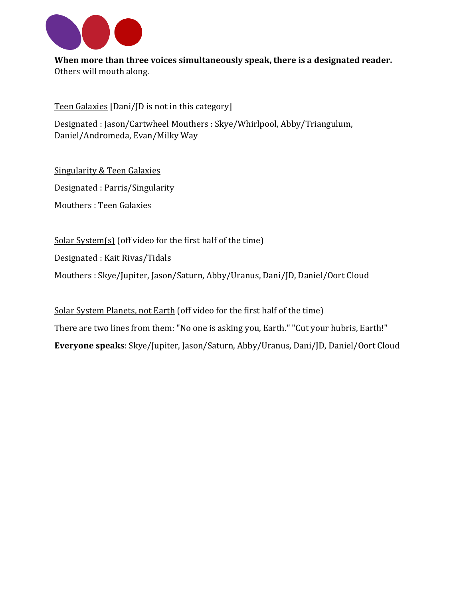

**When more than three voices simultaneously speak, there is a designated reader.** Others will mouth along.

Teen Galaxies [Dani/JD is not in this category]

Designated : Jason/Cartwheel Mouthers : Skye/Whirlpool, Abby/Triangulum, Daniel/Andromeda, Evan/Milky Way

Singularity & Teen Galaxies

Designated : Parris/Singularity

Mouthers : Teen Galaxies

Solar System(s) (off video for the first half of the time)

Designated : Kait Rivas/Tidals

Mouthers : Skye/Jupiter, Jason/Saturn, Abby/Uranus, Dani/JD, Daniel/Oort Cloud

Solar System Planets, not Earth (off video for the first half of the time) There are two lines from them: "No one is asking you, Earth." "Cut your hubris, Earth!" **Everyone speaks**: Skye/Jupiter, Jason/Saturn, Abby/Uranus, Dani/JD, Daniel/Oort Cloud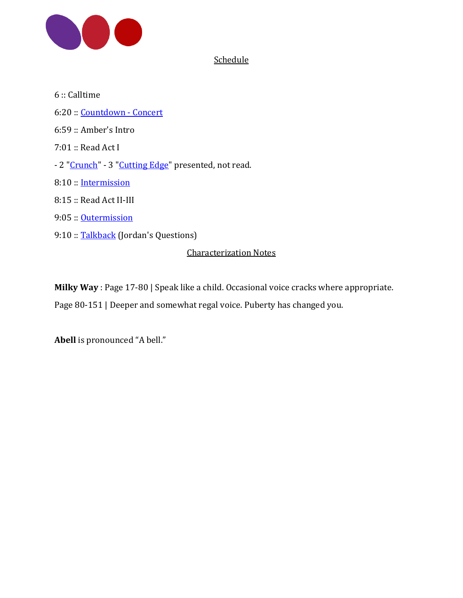

## **Schedule**

6 :: Calltime 6:20 :: [Countdown](https://www.ellipsesplay.com/events/2021-7-15/concert) - Concert 6:59 :: Amber's Intro 7:01 :: Read Act I - 2 ["Crunch"](https://www.ellipsesplay.com/events/2021-7-15/crunch-cutting_edge) - 3 ["Cutting](https://www.ellipsesplay.com/events/2021-7-15/crunch-cutting_edge) Edge" presented, not read. 8:10 :: [Intermission](https://www.ellipsesplay.com/events/2021-7-15/intermission) 8:15 :: Read Act II-III 9:05 :: [Outermission](https://www.ellipsesplay.com/events/2021-7-15/outermission) 9:10 :: [Talkback](https://drive.google.com/file/d/1dnOhwAiU3__Q5gEDO4VXHcKbIvXMWkxu/view) (Jordan's Questions)

## Characterization Notes

**Milky Way** : Page 17-80 | Speak like a child. Occasional voice cracks where appropriate.

Page 80-151 | Deeper and somewhat regal voice. Puberty has changed you.

**Abell** is pronounced "A bell."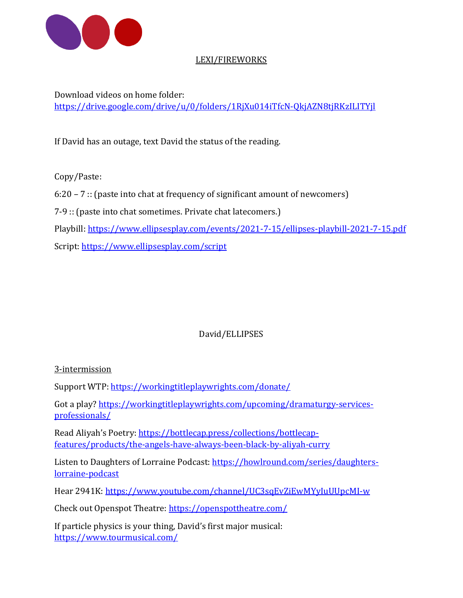

## LEXI/FIREWORKS

Download videos on home folder: <https://drive.google.com/drive/u/0/folders/1RjXu014iTfcN-QkjAZN8tjRKzILITYjl>

If David has an outage, text David the status of the reading.

Copy/Paste:

6:20 – 7 :: (paste into chat at frequency of significant amount of newcomers)

7-9 :: (paste into chat sometimes. Private chat latecomers.)

Playbill:<https://www.ellipsesplay.com/events/2021-7-15/ellipses-playbill-2021-7-15.pdf>

Script:<https://www.ellipsesplay.com/script>

## David/ELLIPSES

3-intermission

Support WTP[: https://workingtitleplaywrights.com/donate/](https://workingtitleplaywrights.com/donate/)

Got a play? [https://workingtitleplaywrights.com/upcoming/dramaturgy-services](https://workingtitleplaywrights.com/upcoming/dramaturgy-services-professionals/)[professionals/](https://workingtitleplaywrights.com/upcoming/dramaturgy-services-professionals/)

Read Aliyah's Poetry: [https://bottlecap.press/collections/bottlecap](https://bottlecap.press/collections/bottlecap-features/products/the-angels-have-always-been-black-by-aliyah-curry)[features/products/the-angels-have-always-been-black-by-aliyah-curry](https://bottlecap.press/collections/bottlecap-features/products/the-angels-have-always-been-black-by-aliyah-curry)

Listen to Daughters of Lorraine Podcast[: https://howlround.com/series/daughters](https://howlround.com/series/daughters-lorraine-podcast)[lorraine-podcast](https://howlround.com/series/daughters-lorraine-podcast)

Hear 2941K:<https://www.youtube.com/channel/UC3sqEvZiEwMYyIuUUpcMI-w>

Check out Openspot Theatre:<https://openspottheatre.com/>

If particle physics is your thing, David's first major musical: <https://www.tourmusical.com/>